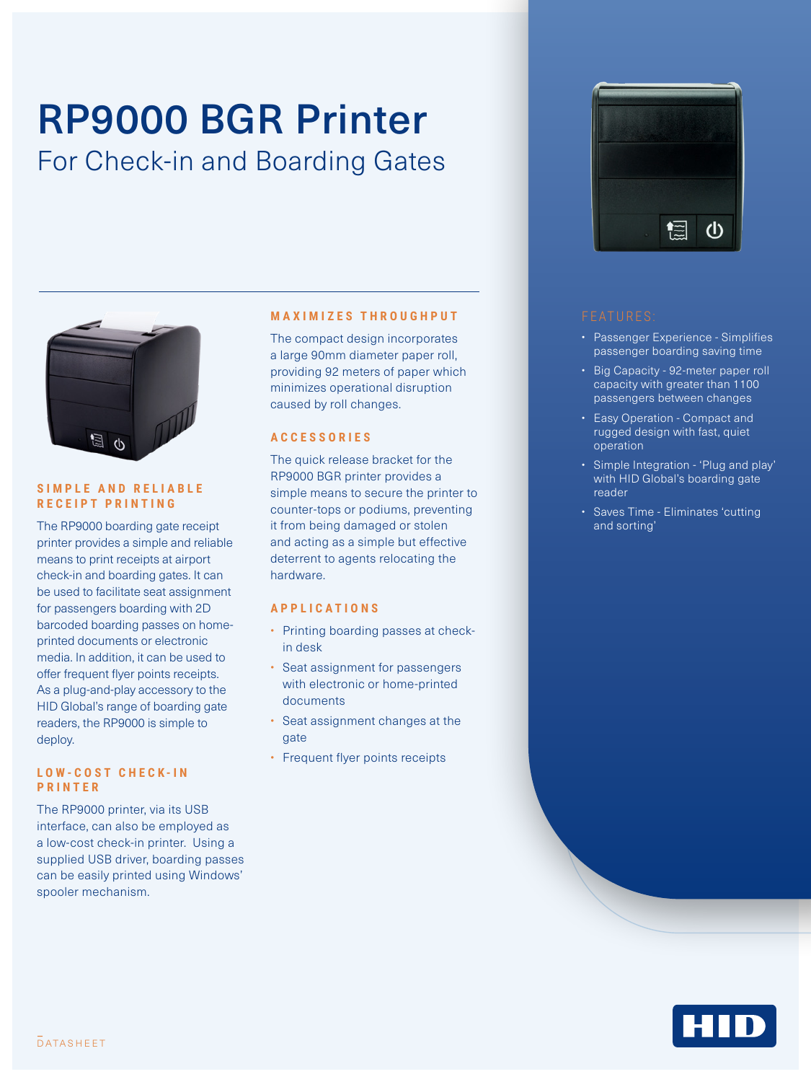# RP9000 BGR Printer For Check-in and Boarding Gates



#### **SIMPLE AND RELIABLE RECEIPT PRINTING**

The RP9000 boarding gate receipt printer provides a simple and reliable means to print receipts at airport check-in and boarding gates. It can be used to facilitate seat assignment for passengers boarding with 2D barcoded boarding passes on homeprinted documents or electronic media. In addition, it can be used to offer frequent flyer points receipts. As a plug-and-play accessory to the HID Global's range of boarding gate readers, the RP9000 is simple to deploy.

#### **L O W - C O S T C H E C K - I N PRINTER**

The RP9000 printer, via its USB interface, can also be employed as a low-cost check-in printer. Using a supplied USB driver, boarding passes can be easily printed using Windows' spooler mechanism.

### **MAXIMIZES THROUGHPUT**

The compact design incorporates a large 90mm diameter paper roll, providing 92 meters of paper which minimizes operational disruption caused by roll changes.

### **ACCESSORIES**

The quick release bracket for the RP9000 BGR printer provides a simple means to secure the printer to counter-tops or podiums, preventing it from being damaged or stolen and acting as a simple but effective deterrent to agents relocating the hardware.

## **APPLICATIONS**

- Printing boarding passes at checkin desk
- Seat assignment for passengers with electronic or home-printed documents
- Seat assignment changes at the gate
- Frequent flyer points receipts



- Passenger Experience Simplifies passenger boarding saving time
- Big Capacity 92-meter paper roll capacity with greater than 1100 passengers between changes
- Easy Operation Compact and rugged design with fast, quiet operation
- Simple Integration 'Plug and play' with HID Global's boarding gate reader
- Saves Time Eliminates 'cutting and sorting'